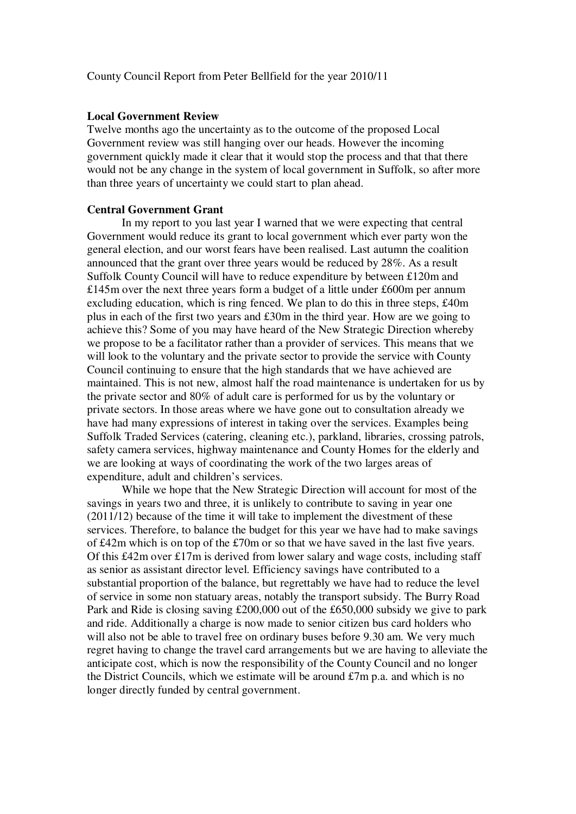#### County Council Report from Peter Bellfield for the year 2010/11

#### **Local Government Review**

Twelve months ago the uncertainty as to the outcome of the proposed Local Government review was still hanging over our heads. However the incoming government quickly made it clear that it would stop the process and that that there would not be any change in the system of local government in Suffolk, so after more than three years of uncertainty we could start to plan ahead.

## **Central Government Grant**

 In my report to you last year I warned that we were expecting that central Government would reduce its grant to local government which ever party won the general election, and our worst fears have been realised. Last autumn the coalition announced that the grant over three years would be reduced by 28%. As a result Suffolk County Council will have to reduce expenditure by between £120m and £145m over the next three years form a budget of a little under £600m per annum excluding education, which is ring fenced. We plan to do this in three steps, £40m plus in each of the first two years and £30m in the third year. How are we going to achieve this? Some of you may have heard of the New Strategic Direction whereby we propose to be a facilitator rather than a provider of services. This means that we will look to the voluntary and the private sector to provide the service with County Council continuing to ensure that the high standards that we have achieved are maintained. This is not new, almost half the road maintenance is undertaken for us by the private sector and 80% of adult care is performed for us by the voluntary or private sectors. In those areas where we have gone out to consultation already we have had many expressions of interest in taking over the services. Examples being Suffolk Traded Services (catering, cleaning etc.), parkland, libraries, crossing patrols, safety camera services, highway maintenance and County Homes for the elderly and we are looking at ways of coordinating the work of the two larges areas of expenditure, adult and children's services.

 While we hope that the New Strategic Direction will account for most of the savings in years two and three, it is unlikely to contribute to saving in year one (2011/12) because of the time it will take to implement the divestment of these services. Therefore, to balance the budget for this year we have had to make savings of £42m which is on top of the £70m or so that we have saved in the last five years. Of this £42m over £17m is derived from lower salary and wage costs, including staff as senior as assistant director level. Efficiency savings have contributed to a substantial proportion of the balance, but regrettably we have had to reduce the level of service in some non statuary areas, notably the transport subsidy. The Burry Road Park and Ride is closing saving £200,000 out of the £650,000 subsidy we give to park and ride. Additionally a charge is now made to senior citizen bus card holders who will also not be able to travel free on ordinary buses before 9.30 am. We very much regret having to change the travel card arrangements but we are having to alleviate the anticipate cost, which is now the responsibility of the County Council and no longer the District Councils, which we estimate will be around  $\pounds 7m$  p.a. and which is no longer directly funded by central government.